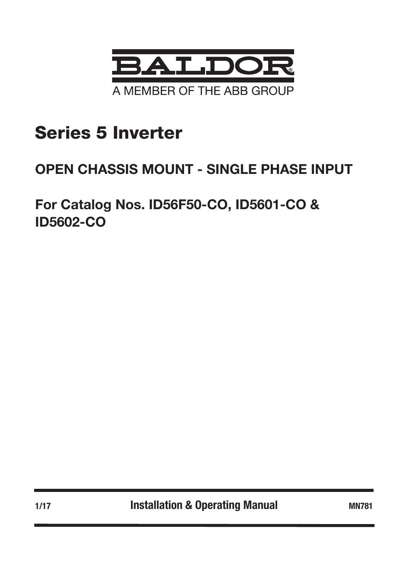

# Series 5 Inverter

## OPEN CHASSIS MOUNT - SINGLE PHASE INPUT

For Catalog Nos. ID56F50-CO, ID5601-CO & ID5602-CO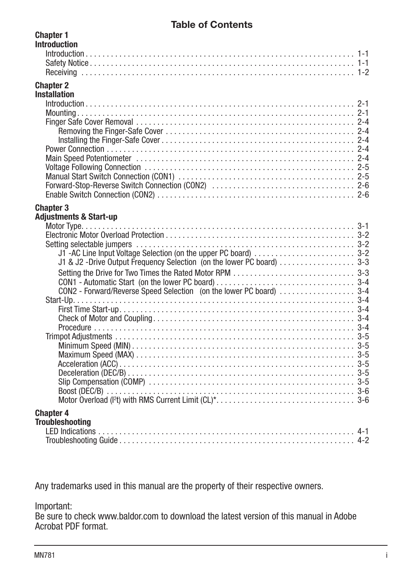## Table of Contents

| <b>UIIAPIGI I</b><br><b>Introduction</b> |  |
|------------------------------------------|--|
|                                          |  |
|                                          |  |
|                                          |  |
|                                          |  |
| <b>Chapter 2</b>                         |  |
| <b>Installation</b>                      |  |
| $Introduction \dots 2-1$                 |  |
|                                          |  |
|                                          |  |
|                                          |  |
|                                          |  |
|                                          |  |
|                                          |  |
|                                          |  |
|                                          |  |
|                                          |  |
|                                          |  |
| <b>Chapter 3</b>                         |  |
| <b>Adjustments &amp; Start-up</b>        |  |
|                                          |  |
|                                          |  |
|                                          |  |
|                                          |  |
|                                          |  |
|                                          |  |
|                                          |  |
|                                          |  |
|                                          |  |
|                                          |  |
|                                          |  |
|                                          |  |
|                                          |  |
|                                          |  |
|                                          |  |
|                                          |  |
|                                          |  |
|                                          |  |
|                                          |  |
|                                          |  |
|                                          |  |
| <b>Chapter 4</b>                         |  |
| <b>Troubleshooting</b>                   |  |
|                                          |  |
|                                          |  |
|                                          |  |

Any trademarks used in this manual are the property of their respective owners.

## Important:

Chapter 1

Be sure to check www.baldor.com to download the latest version of this manual in Adobe Acrobat PDF format.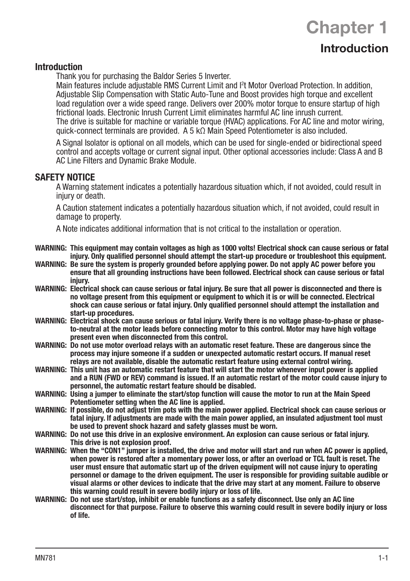#### Introduction

Thank you for purchasing the Baldor Series 5 Inverter.

Main features include adjustable RMS Current Limit and I<sup>2</sup>t Motor Overload Protection. In addition, Adjustable Slip Compensation with Static Auto-Tune and Boost provides high torque and excellent load regulation over a wide speed range. Delivers over 200% motor torque to ensure startup of high frictional loads. Electronic Inrush Current Limit eliminates harmful AC line inrush current. The drive is suitable for machine or variable torque (HVAC) applications. For AC line and motor wiring, quick-connect terminals are provided. A 5 kΩ Main Speed Potentiometer is also included.

**Chapter 1** 

Introduction

A Signal Isolator is optional on all models, which can be used for single-ended or bidirectional speed control and accepts voltage or current signal input. Other optional accessories include: Class A and B AC Line Filters and Dynamic Brake Module.

## SAFETY NOTICE

A Warning statement indicates a potentially hazardous situation which, if not avoided, could result in injury or death.

A Caution statement indicates a potentially hazardous situation which, if not avoided, could result in damage to property.

A Note indicates additional information that is not critical to the installation or operation.

- WARNING: This equipment may contain voltages as high as 1000 volts! Electrical shock can cause serious or fatal injury. Only qualified personnel should attempt the start-up procedure or troubleshoot this equipment.
- WARNING: Be sure the system is properly grounded before applying power. Do not apply AC power before you ensure that all grounding instructions have been followed. Electrical shock can cause serious or fatal injury.
- WARNING: Electrical shock can cause serious or fatal injury. Be sure that all power is disconnected and there is no voltage present from this equipment or equipment to which it is or will be connected. Electrical shock can cause serious or fatal injury. Only qualified personnel should attempt the installation and start-up procedures.
- WARNING: Electrical shock can cause serious or fatal injury. Verify there is no voltage phase-to-phase or phaseto-neutral at the motor leads before connecting motor to this control. Motor may have high voltage present even when disconnected from this control.
- WARNING: Do not use motor overload relays with an automatic reset feature. These are dangerous since the process may injure someone if a sudden or unexpected automatic restart occurs. If manual reset relays are not available, disable the automatic restart feature using external control wiring.
- WARNING: This unit has an automatic restart feature that will start the motor whenever input power is applied and a RUN (FWD or REV) command is issued. If an automatic restart of the motor could cause injury to personnel, the automatic restart feature should be disabled.
- WARNING: Using a jumper to eliminate the start/stop function will cause the motor to run at the Main Speed Potentiometer setting when the AC line is applied.
- WARNING: If possible, do not adjust trim pots with the main power applied. Electrical shock can cause serious or fatal injury. If adjustments are made with the main power applied, an insulated adjustment tool must be used to prevent shock hazard and safety glasses must be worn.
- WARNING: Do not use this drive in an explosive environment. An explosion can cause serious or fatal injury. This drive is not explosion proof.
- WARNING: When the "CON1" jumper is installed, the drive and motor will start and run when AC power is applied, when power is restored after a momentary power loss, or after an overload or TCL fault is reset. The user must ensure that automatic start up of the driven equipment will not cause injury to operating personnel or damage to the driven equipment. The user is responsible for providing suitable audible or visual alarms or other devices to indicate that the drive may start at any moment. Failure to observe this warning could result in severe bodily injury or loss of life.
- WARNING: Do not use start/stop, inhibit or enable functions as a safety disconnect. Use only an AC line disconnect for that purpose. Failure to observe this warning could result in severe bodily injury or loss of life.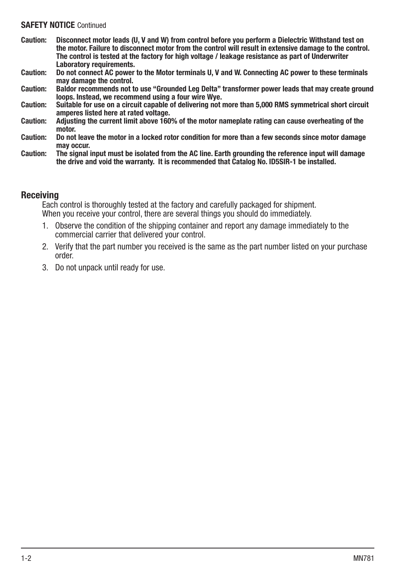#### SAFFTY NOTICE Continued

- Caution: Disconnect motor leads (U, V and W) from control before you perform a Dielectric Withstand test on the motor. Failure to disconnect motor from the control will result in extensive damage to the control. The control is tested at the factory for high voltage / leakage resistance as part of Underwriter Laboratory requirements.
- Caution: Do not connect AC power to the Motor terminals U, V and W. Connecting AC power to these terminals may damage the control.
- Caution: Baldor recommends not to use "Grounded Leg Delta" transformer power leads that may create ground loops. Instead, we recommend using a four wire Wye.
- Caution: Suitable for use on a circuit capable of delivering not more than 5,000 RMS symmetrical short circuit amperes listed here at rated voltage.
- Caution: Adjusting the current limit above 160% of the motor nameplate rating can cause overheating of the motor
- Caution: Do not leave the motor in a locked rotor condition for more than a few seconds since motor damage may occur.
- Caution: The signal input must be isolated from the AC line. Earth grounding the reference input will damage the drive and void the warranty. It is recommended that Catalog No. ID5SIR-1 be installed.

## Receiving

Each control is thoroughly tested at the factory and carefully packaged for shipment. When you receive your control, there are several things you should do immediately.

- 1. Observe the condition of the shipping container and report any damage immediately to the commercial carrier that delivered your control.
- 2. Verify that the part number you received is the same as the part number listed on your purchase order.
- 3. Do not unpack until ready for use.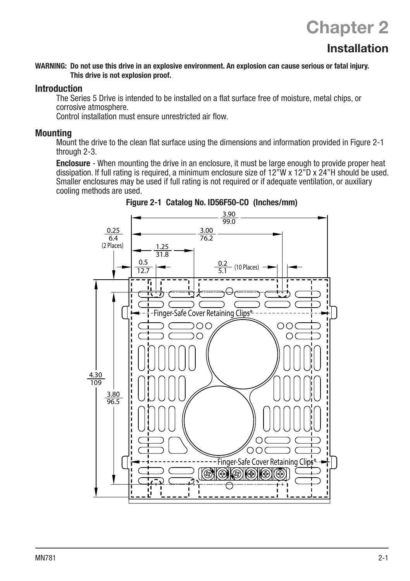#### WARNING: Do not use this drive in an explosive environment. An explosion can cause serious or fatal injury. This drive is not explosion proof.

## Introduction

The Series 5 Drive is intended to be installed on a flat surface free of moisture, metal chips, or corrosive atmosphere.

Control installation must ensure unrestricted air flow.

### **Mounting**

Mount the drive to the clean flat surface using the dimensions and information provided in Figure 2-1 through 2-3.

Enclosure - When mounting the drive in an enclosure, it must be large enough to provide proper heat dissipation. If full rating is required, a minimum enclosure size of 12"W x 12"D x 24"H should be used. Smaller enclosures may be used if full rating is not required or if adequate ventilation, or auxiliary cooling methods are used.



Figure 2-1 Catalog No. ID56F50-CO (Inches/mm)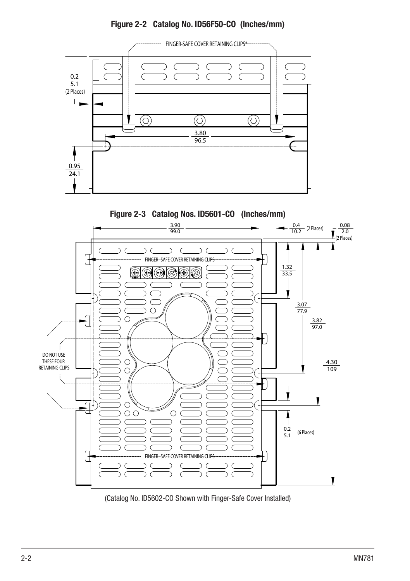

Figure 2-2 Catalog No. ID56F50-CO (Inches/mm)



Figure 2-3 Catalog Nos. ID5601-CO (Inches/mm)

(Catalog No. ID5602-CO Shown with Finger-Safe Cover Installed)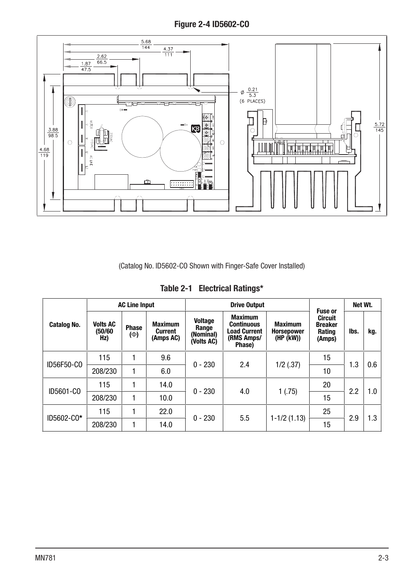Figure 2-4 ID5602-CO



(Catalog No. ID5602-CO Shown with Finger-Safe Cover Installed)

|             | <b>AC Line Input</b>              |                   |                                        | <b>Drive Output</b>                                |                                                                                    |                                                  | <b>Fuse or</b>                                       | Net Wt. |     |     |
|-------------|-----------------------------------|-------------------|----------------------------------------|----------------------------------------------------|------------------------------------------------------------------------------------|--------------------------------------------------|------------------------------------------------------|---------|-----|-----|
| Catalog No. | <b>Volts AC</b><br>(50/60)<br>Hz) | Phase<br>$(\Phi)$ | <b>Maximum</b><br>Current<br>(Amps AC) | <b>Voltage</b><br>Range<br>(Nominal)<br>(Volts AC) | <b>Maximum</b><br><b>Continuous</b><br><b>Load Current</b><br>(RMS Amps/<br>Phase) | <b>Maximum</b><br><b>Horsepower</b><br>(HP (kW)) | <b>Circuit</b><br><b>Breaker</b><br>Rating<br>(Amps) | lbs.    | kg. |     |
| ID56F50-CO  | 115                               |                   | 9.6                                    | $0 - 230$                                          | 2.4                                                                                | $1/2$ (.37)                                      | 15                                                   | 1.3     | 0.6 |     |
|             | 208/230                           |                   | 6.0                                    |                                                    |                                                                                    |                                                  | 10                                                   |         |     |     |
|             | 115                               |                   | 14.0                                   | $0 - 230$                                          |                                                                                    | 4.0                                              |                                                      | 20      | 2.2 | 1.0 |
| ID5601-CO   | 208/230                           | 1                 | 10.0                                   |                                                    |                                                                                    | 1(.75)                                           | 15                                                   |         |     |     |
| ID5602-C0*  | 115                               |                   | 22.0                                   | $0 - 230$                                          | 5.5                                                                                | $1-1/2(1.13)$                                    | 25                                                   | 2.9     | 1.3 |     |
|             | 208/230                           | 1                 | 14.0                                   |                                                    |                                                                                    |                                                  | 15                                                   |         |     |     |

Table 2-1 Electrical Ratings\*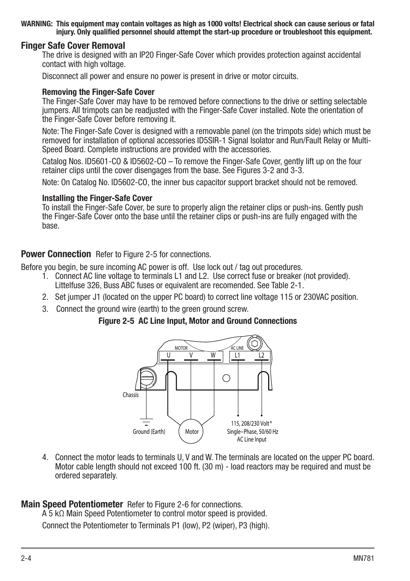#### WARNING: This equipment may contain voltages as high as 1000 volts! Electrical shock can cause serious or fatal injury. Only qualified personnel should attempt the start-up procedure or troubleshoot this equipment.

### Finger Safe Cover Removal

The drive is designed with an IP20 Finger-Safe Cover which provides protection against accidental contact with high voltage.

Disconnect all power and ensure no power is present in drive or motor circuits.

#### Removing the Finger-Safe Cover

The Finger-Safe Cover may have to be removed before connections to the drive or setting selectable jumpers. All trimpots can be readjusted with the Finger-Safe Cover installed. Note the orientation of the Finger-Safe Cover before removing it.

Note: The Finger-Safe Cover is designed with a removable panel (on the trimpots side) which must be removed for installation of optional accessories ID5SIR-1 Signal Isolator and Run/Fault Relay or Multi-Speed Board. Complete instructions are provided with the accessories.

Catalog Nos. ID5601-CO & ID5602-CO – To remove the Finger-Safe Cover, gently lift up on the four retainer clips until the cover disengages from the base. See Figures 3-2 and 3-3.

Note: On Catalog No. ID5602-CO, the inner bus capacitor support bracket should not be removed.

#### Installing the Finger-Safe Cover

To install the Finger-Safe Cover, be sure to properly align the retainer clips or push-ins. Gently push the Finger-Safe Cover onto the base until the retainer clips or push-ins are fully engaged with the base.

#### **Power Connection** Refer to Figure 2-5 for connections.

Before you begin, be sure incoming AC power is off. Use lock out / tag out procedures.

- 1. Connect AC line voltage to terminals L1 and L2. Use correct fuse or breaker (not provided). Littelfuse 326, Buss ABC fuses or equivalent are recomended. See Table 2-1.
- 2. Set jumper J1 (located on the upper PC board) to correct line voltage 115 or 230VAC position.
- 3. Connect the ground wire (earth) to the green ground screw.

#### Figure 2-5 AC Line Input, Motor and Ground Connections



4. Connect the motor leads to terminals U, V and W. The terminals are located on the upper PC board. Motor cable length should not exceed 100 ft. (30 m) - load reactors may be required and must be ordered separately.

## **Main Speed Potentiometer** Refer to Figure 2-6 for connections.

A 5 kΩ Main Speed Potentiometer to control motor speed is provided. Connect the Potentiometer to Terminals P1 (low), P2 (wiper), P3 (high).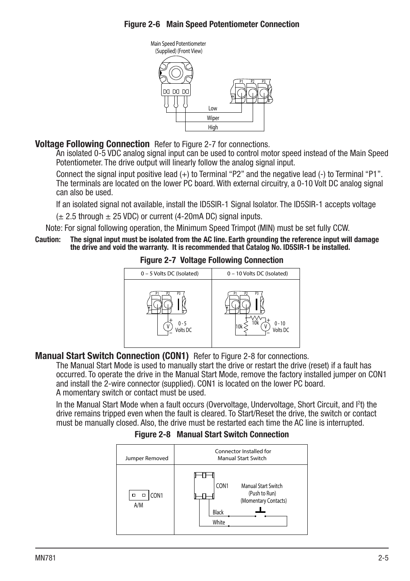## Figure 2-6 Main Speed Potentiometer Connection



## **Voltage Following Connection** Refer to Figure 2-7 for connections.

An isolated 0-5 VDC analog signal input can be used to control motor speed instead of the Main Speed Potentiometer. The drive output will linearly follow the analog signal input.

Connect the signal input positive lead (+) to Terminal "P2" and the negative lead (-) to Terminal "P1". The terminals are located on the lower PC board. With external circuitry, a 0-10 Volt DC analog signal can also be used.

If an isolated signal not available, install the ID5SIR-1 Signal Isolator. The ID5SIR-1 accepts voltage

 $(\pm 2.5$  through  $\pm 25$  VDC) or current (4-20mA DC) signal inputs.

Note: For signal following operation, the Minimum Speed Trimpot (MIN) must be set fully CCW.

Caution: The signal input must be isolated from the AC line. Earth grounding the reference input will damage the drive and void the warranty. It is recommended that Catalog No. ID5SIR-1 be installed.



#### Figure 2-7 Voltage Following Connection

## Manual Start Switch Connection (CON1) Refer to Figure 2-8 for connections.

The Manual Start Mode is used to manually start the drive or restart the drive (reset) if a fault has occurred. To operate the drive in the Manual Start Mode, remove the factory installed jumper on CON1 and install the 2-wire connector (supplied). CON1 is located on the lower PC board. A momentary switch or contact must be used.

In the Manual Start Mode when a fault occurs (Overvoltage, Undervoltage, Short Circuit, and I2 t) the drive remains tripped even when the fault is cleared. To Start/Reset the drive, the switch or contact must be manually closed. Also, the drive must be restarted each time the AC line is interrupted.

## Figure 2-8 Manual Start Switch Connection

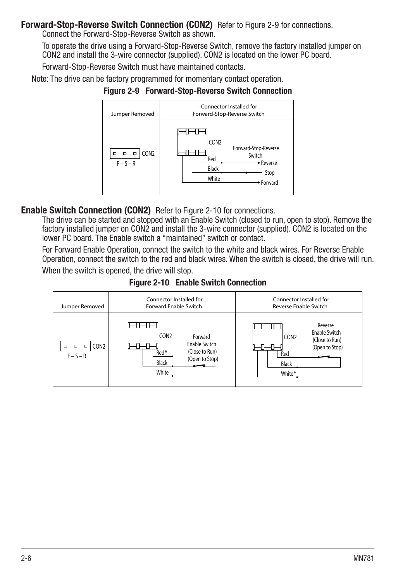## **Forward-Stop-Reverse Switch Connection (CON2)** Refer to Figure 2-9 for connections.

Connect the Forward-Stop-Reverse Switch as shown.

To operate the drive using a Forward-Stop-Reverse Switch, remove the factory installed jumper on CON2 and install the 3-wire connector (supplied). CON2 is located on the lower PC board.

Forward-Stop-Reverse Switch must have maintained contacts.

Note: The drive can be factory programmed for momentary contact operation.





## Enable Switch Connection (CON2) Refer to Figure 2-10 for connections.

The drive can be started and stopped with an Enable Switch (closed to run, open to stop). Remove the factory installed jumper on CON2 and install the 3-wire connector (supplied). CON2 is located on the lower PC board. The Enable switch a "maintained" switch or contact.

For Forward Enable Operation, connect the switch to the white and black wires. For Reverse Enable Operation, connect the switch to the red and black wires. When the switch is closed, the drive will run.

When the switch is opened, the drive will stop.



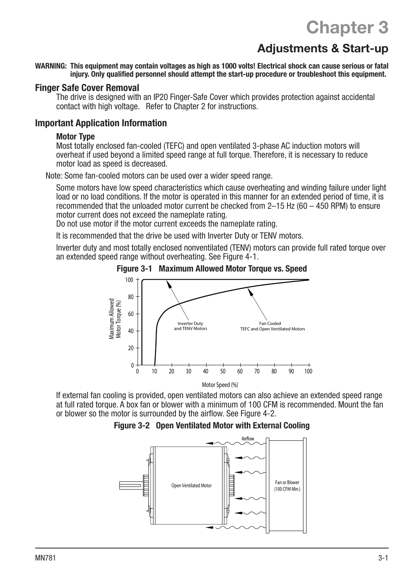# Chapter 3

## Adjustments & Start-up

WARNING: This equipment may contain voltages as high as 1000 volts! Electrical shock can cause serious or fatal injury. Only qualified personnel should attempt the start-up procedure or troubleshoot this equipment.

#### Finger Safe Cover Removal

The drive is designed with an IP20 Finger-Safe Cover which provides protection against accidental contact with high voltage. Refer to Chapter 2 for instructions.

#### Important Application Information

#### Motor Type

Most totally enclosed fan-cooled (TEFC) and open ventilated 3-phase AC induction motors will overheat if used beyond a limited speed range at full torque. Therefore, it is necessary to reduce motor load as speed is decreased.

Note: Some fan-cooled motors can be used over a wider speed range.

Some motors have low speed characteristics which cause overheating and winding failure under light load or no load conditions. If the motor is operated in this manner for an extended period of time, it is recommended that the unloaded motor current be checked from 2–15 Hz (60 – 450 RPM) to ensure motor current does not exceed the nameplate rating.

Do not use motor if the motor current exceeds the nameplate rating.

It is recommended that the drive be used with Inverter Duty or TENV motors.

Inverter duty and most totally enclosed nonventilated (TENV) motors can provide full rated torque over an extended speed range without overheating. See Figure  $4-1$ .





If external fan cooling is provided, open ventilated motors can also achieve an extended speed range at full rated torque. A box fan or blower with a minimum of 100 CFM is recommended. Mount the fan or blower so the motor is surrounded by the airflow. See Figure 4-2.



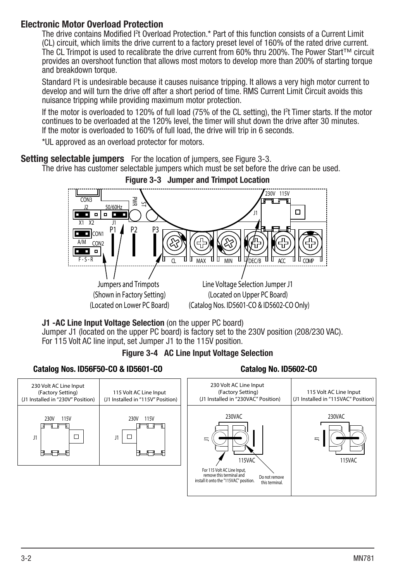## Electronic Motor Overload Protection

The drive contains Modified I<sup>2</sup>t Overload Protection.\* Part of this function consists of a Current Limit (CL) circuit, which limits the drive current to a factory preset level of 160% of the rated drive current. The CL Trimpot is used to recalibrate the drive current from 60% thru 200%. The Power Start™ circuit provides an overshoot function that allows most motors to develop more than 200% of starting torque and breakdown torque.

Standard I2 t is undesirable because it causes nuisance tripping. It allows a very high motor current to develop and will turn the drive off after a short period of time. RMS Current Limit Circuit avoids this nuisance tripping while providing maximum motor protection.

If the motor is overloaded to 120% of full load (75% of the CL setting), the I2 t Timer starts. If the motor continues to be overloaded at the 120% level, the timer will shut down the drive after 30 minutes. If the motor is overloaded to 160% of full load, the drive will trip in 6 seconds.

\*UL approved as an overload protector for motors.

**Setting selectable jumpers** For the location of jumpers, see Figure 3-3.

The drive has customer selectable jumpers which must be set before the drive can be used.



#### Figure 3-3 Jumper and Trimpot Location

J1 -AC Line Input Voltage Selection (on the upper PC board)

Jumper J1 (located on the upper PC board) is factory set to the 230V position (208/230 VAC). For 115 Volt AC line input, set Jumper J1 to the 115V position.

## Figure 3-4 AC Line Input Voltage Selection

## Catalog Nos. ID56F50-CO & ID5601-CO

Catalog No. ID5602-CO

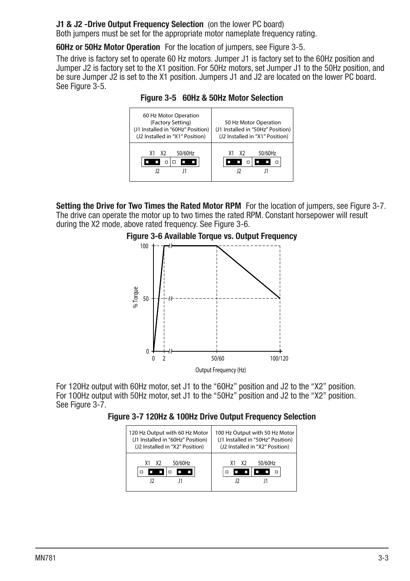## J1 & J2 -Drive Output Frequency Selection (on the lower PC board)

Both jumpers must be set for the appropriate motor nameplate frequency rating.

60Hz or 50Hz Motor Operation For the location of jumpers, see Figure 3-5.

The drive is factory set to operate 60 Hz motors. Jumper J1 is factory set to the 60Hz position and Jumper J2 is factory set to the X1 position. For 50Hz motors, set Jumper J1 to the 50Hz position, and be sure Jumper J2 is set to the X1 position. Jumpers J1 and J2 are located on the lower PC board. See Figure 3-5.

Figure 3-5 60Hz & 50Hz Motor Selection



Setting the Drive for Two Times the Rated Motor RPM For the location of jumpers, see Figure 3-7. The drive can operate the motor up to two times the rated RPM. Constant horsepower will result during the X2 mode, above rated frequency. See Figure 3-6.



For 120Hz output with 60Hz motor, set J1 to the "60Hz" position and J2 to the "X2" position. For 100Hz output with 50Hz motor, set J1 to the "50Hz" position and J2 to the "X2" position. See Figure 3-7.

Figure 3-7 120Hz & 100Hz Drive Output Frequency Selection

| 120 Hz Output with 60 Hz Motor    | 100 Hz Output with 50 Hz Motor    |
|-----------------------------------|-----------------------------------|
| (J1 Installed in "60Hz" Position) | (J1 Installed in "50Hz" Position) |
| (J2 Installed in "X2" Position)   | (J2 Installed in "X2" Position)   |
| 50/60Hz<br>X1X2                   | 50/60Hz<br>X <sub>2</sub><br>X1   |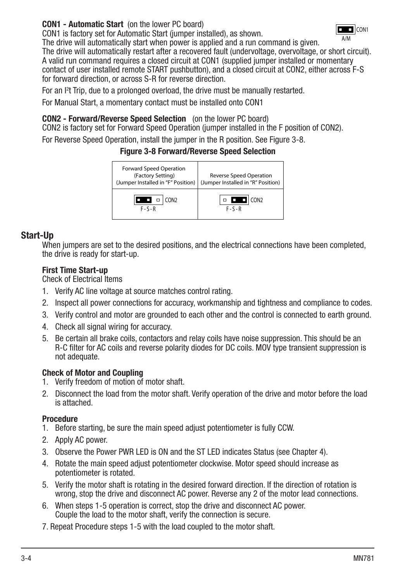CON1 - Automatic Start (on the lower PC board)

CON1 is factory set for Automatic Start (jumper installed), as shown.



The drive will automatically start when power is applied and a run command is given. The drive will automatically restart after a recovered fault (undervoltage, overvoltage, or short circuit). A valid run command requires a closed circuit at CON1 (supplied jumper installed or momentary contact of user installed remote START pushbutton), and a closed circuit at CON2, either across F-S for forward direction, or across S-R for reverse direction.

For an l<sup>2</sup>t Trip, due to a prolonged overload, the drive must be manually restarted.

For Manual Start, a momentary contact must be installed onto CON1

## CON2 - Forward/Reverse Speed Selection (on the lower PC board)

CON2 is factory set for Forward Speed Operation (jumper installed in the F position of CON2).

For Reverse Speed Operation, install the jumper in the R position. See Figure 3-8.

## Figure 3-8 Forward/Reverse Speed Selection



## Start-Up

When jumpers are set to the desired positions, and the electrical connections have been completed, the drive is ready for start-up.

## First Time Start-up

Check of Electrical Items

- 1. Verify AC line voltage at source matches control rating.
- 2. Inspect all power connections for accuracy, workmanship and tightness and compliance to codes.
- 3. Verify control and motor are grounded to each other and the control is connected to earth ground.
- 4. Check all signal wiring for accuracy.
- 5. Be certain all brake coils, contactors and relay coils have noise suppression. This should be an R-C filter for AC coils and reverse polarity diodes for DC coils. MOV type transient suppression is not adequate.

## Check of Motor and Coupling

- 1. Verify freedom of motion of motor shaft.
- 2. Disconnect the load from the motor shaft. Verify operation of the drive and motor before the load is attached.

## Procedure

- 1. Before starting, be sure the main speed adjust potentiometer is fully CCW.
- 2. Apply AC power.
- 3. Observe the Power PWR LED is ON and the ST LED indicates Status (see Chapter 4).
- 4. Rotate the main speed adjust potentiometer clockwise. Motor speed should increase as potentiometer is rotated.
- 5. Verify the motor shaft is rotating in the desired forward direction. If the direction of rotation is wrong, stop the drive and disconnect AC power. Reverse any 2 of the motor lead connections.
- 6. When steps 1-5 operation is correct, stop the drive and disconnect AC power. Couple the load to the motor shaft, verify the connection is secure.
- 7. Repeat Procedure steps 1-5 with the load coupled to the motor shaft.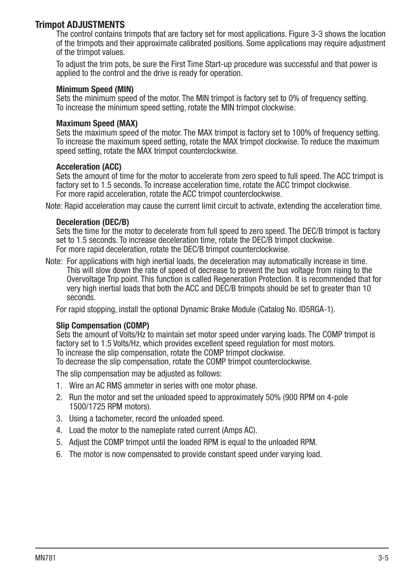## Trimpot ADJUSTMENTS

The control contains trimpots that are factory set for most applications. Figure 3-3 shows the location of the trimpots and their approximate calibrated positions. Some applications may require adjustment of the trimpot values.

To adjust the trim pots, be sure the First Time Start-up procedure was successful and that power is applied to the control and the drive is ready for operation.

#### Minimum Speed (MIN)

Sets the minimum speed of the motor. The MIN trimpot is factory set to 0% of frequency setting. To increase the minimum speed setting, rotate the MIN trimpot clockwise.

### Maximum Speed (MAX)

Sets the maximum speed of the motor. The MAX trimpot is factory set to 100% of frequency setting. To increase the maximum speed setting, rotate the MAX trimpot clockwise. To reduce the maximum speed setting, rotate the MAX trimpot counterclockwise.

#### Acceleration (ACC)

Sets the amount of time for the motor to accelerate from zero speed to full speed. The ACC trimpot is factory set to 1.5 seconds. To increase acceleration time, rotate the ACC trimpot clockwise. For more rapid acceleration, rotate the ACC trimpot counterclockwise.

Note: Rapid acceleration may cause the current limit circuit to activate, extending the acceleration time.

#### Deceleration (DEC/B)

Sets the time for the motor to decelerate from full speed to zero speed. The DEC/B trimpot is factory set to 1.5 seconds. To increase deceleration time, rotate the DEC/B trimpot clockwise. For more rapid deceleration, rotate the DEC/B trimpot counterclockwise.

Note: For applications with high inertial loads, the deceleration may automatically increase in time. This will slow down the rate of speed of decrease to prevent the bus voltage from rising to the Overvoltage Trip point. This function is called Regeneration Protection. It is recommended that for very high inertial loads that both the ACC and DEC/B trimpots should be set to greater than 10 seconds.

For rapid stopping, install the optional Dynamic Brake Module (Catalog No. ID5RGA-1).

#### Slip Compensation (COMP)

Sets the amount of Volts/Hz to maintain set motor speed under varying loads. The COMP trimpot is factory set to 1.5 Volts/Hz, which provides excellent speed regulation for most motors. To increase the slip compensation, rotate the COMP trimpot clockwise.

To decrease the slip compensation, rotate the COMP trimpot counterclockwise.

The slip compensation may be adjusted as follows:

- 1. Wire an AC RMS ammeter in series with one motor phase.
- 2. Run the motor and set the unloaded speed to approximately 50% (900 RPM on 4-pole 1500/1725 RPM motors).
- 3. Using a tachometer, record the unloaded speed.
- 4. Load the motor to the nameplate rated current (Amps AC).
- 5. Adjust the COMP trimpot until the loaded RPM is equal to the unloaded RPM.
- 6. The motor is now compensated to provide constant speed under varying load.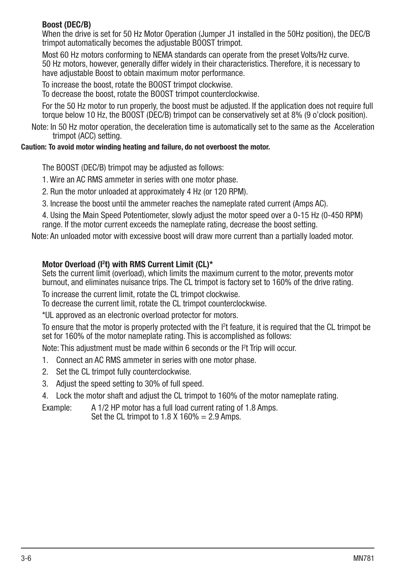## Boost (DEC/B)

When the drive is set for 50 Hz Motor Operation (Jumper J1 installed in the 50Hz position), the DEC/B trimpot automatically becomes the adjustable BOOST trimpot.

Most 60 Hz motors conforming to NEMA standards can operate from the preset Volts/Hz curve. 50 Hz motors, however, generally differ widely in their characteristics. Therefore, it is necessary to have adjustable Boost to obtain maximum motor performance.

To increase the boost, rotate the BOOST trimpot clockwise.

To decrease the boost, rotate the BOOST trimpot counterclockwise.

For the 50 Hz motor to run properly, the boost must be adjusted. If the application does not require full torque below 10 Hz, the BOOST (DEC/B) trimpot can be conservatively set at 8% (9 o'clock position).

Note: In 50 Hz motor operation, the deceleration time is automatically set to the same as the Acceleration trimpot (ACC) setting.

## Caution: To avoid motor winding heating and failure, do not overboost the motor.

The BOOST (DEC/B) trimpot may be adjusted as follows:

1. Wire an AC RMS ammeter in series with one motor phase.

2. Run the motor unloaded at approximately 4 Hz (or 120 RPM).

3. Increase the boost until the ammeter reaches the nameplate rated current (Amps AC).

4. Using the Main Speed Potentiometer, slowly adjust the motor speed over a 0-15 Hz (0-450 RPM) range. If the motor current exceeds the nameplate rating, decrease the boost setting.

Note: An unloaded motor with excessive boost will draw more current than a partially loaded motor.

## Motor Overload (I<sup>2</sup>t) with RMS Current Limit (CL)\*

Sets the current limit (overload), which limits the maximum current to the motor, prevents motor burnout, and eliminates nuisance trips. The CL trimpot is factory set to 160% of the drive rating.

To increase the current limit, rotate the CL trimpot clockwise.

To decrease the current limit, rotate the CL trimpot counterclockwise.

\*UL approved as an electronic overload protector for motors.

To ensure that the motor is properly protected with the  $l^2$ t feature, it is required that the CL trimpot be set for 160% of the motor nameplate rating. This is accomplished as follows:

Note: This adjustment must be made within 6 seconds or the I<sup>2</sup>t Trip will occur.

- 1. Connect an AC RMS ammeter in series with one motor phase.
- 2. Set the CL trimpot fully counterclockwise.
- 3. Adjust the speed setting to 30% of full speed.
- 4. Lock the motor shaft and adjust the CL trimpot to 160% of the motor nameplate rating.

Example: A 1/2 HP motor has a full load current rating of 1.8 Amps.

Set the CL trimpot to  $1.8 \text{ X}$  160% = 2.9 Amps.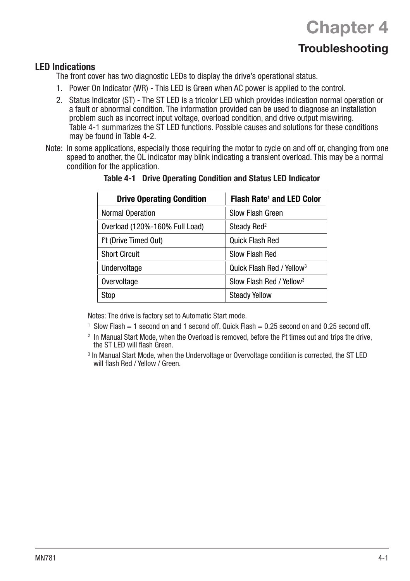# **Chapter 4**

## **Troubleshooting**

## LED Indications

The front cover has two diagnostic LEDs to display the drive's operational status.

- 1. Power On Indicator (WR) This LED is Green when AC power is applied to the control.
- 2. Status Indicator (ST) The ST LED is a tricolor LED which provides indication normal operation or a fault or abnormal condition. The information provided can be used to diagnose an installation problem such as incorrect input voltage, overload condition, and drive output miswiring. Table 4-1 summarizes the ST LED functions. Possible causes and solutions for these conditions may be found in Table 4-2.
- Note: In some applications, especially those requiring the motor to cycle on and off or, changing from one speed to another, the OL indicator may blink indicating a transient overload. This may be a normal condition for the application.

| <b>Drive Operating Condition</b>   | Flash Rate <sup>1</sup> and LED Color |
|------------------------------------|---------------------------------------|
| <b>Normal Operation</b>            | Slow Flash Green                      |
| Overload (120%-160% Full Load)     | Steady Red <sup>2</sup>               |
| I <sup>2</sup> t (Drive Timed Out) | Quick Flash Red                       |
| <b>Short Circuit</b>               | Slow Flash Red                        |
| Undervoltage                       | Quick Flash Red / Yellow <sup>3</sup> |
| Overvoltage                        | Slow Flash Red / Yellow <sup>3</sup>  |
| Stop                               | <b>Steady Yellow</b>                  |

#### Table 4-1 Drive Operating Condition and Status LED Indicator

Notes: The drive is factory set to Automatic Start mode.

- 1 Slow Flash = 1 second on and 1 second off. Quick Flash = 0.25 second on and 0.25 second off.
- <sup>2</sup> In Manual Start Mode, when the Overload is removed, before the <sup>12</sup>t times out and trips the drive, the ST LED will flash Green.
- 3 In Manual Start Mode, when the Undervoltage or Overvoltage condition is corrected, the ST LED will flash Red / Yellow / Green.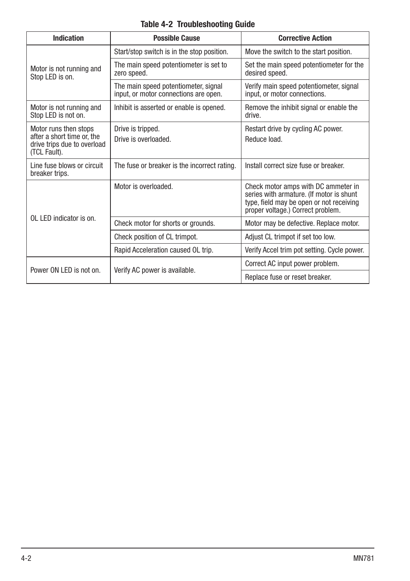## Table 4-2 Troubleshooting Guide

| <b>Indication</b>                                                                                  | <b>Possible Cause</b>                                                         | <b>Corrective Action</b>                                                                                                                                         |  |  |
|----------------------------------------------------------------------------------------------------|-------------------------------------------------------------------------------|------------------------------------------------------------------------------------------------------------------------------------------------------------------|--|--|
|                                                                                                    | Start/stop switch is in the stop position.                                    | Move the switch to the start position.                                                                                                                           |  |  |
| Motor is not running and<br>Stop LED is on.                                                        | The main speed potentiometer is set to<br>zero speed.                         | Set the main speed potentiometer for the<br>desired speed.                                                                                                       |  |  |
|                                                                                                    | The main speed potentiometer, signal<br>input, or motor connections are open. | Verify main speed potentiometer, signal<br>input, or motor connections.                                                                                          |  |  |
| Motor is not running and<br>Stop LED is not on.                                                    | Inhibit is asserted or enable is opened.                                      | Remove the inhibit signal or enable the<br>drive.                                                                                                                |  |  |
| Motor runs then stops<br>after a short time or, the<br>drive trips due to overload<br>(TCL Fault). | Drive is tripped.<br>Drive is overloaded.                                     | Restart drive by cycling AC power.<br>Reduce load.                                                                                                               |  |  |
| Line fuse blows or circuit<br>breaker trips.                                                       | The fuse or breaker is the incorrect rating.                                  | Install correct size fuse or breaker.                                                                                                                            |  |  |
|                                                                                                    | Motor is overloaded.                                                          | Check motor amps with DC ammeter in<br>series with armature. (If motor is shunt<br>type, field may be open or not receiving<br>proper voltage.) Correct problem. |  |  |
| $01$ I FD indicator is on                                                                          | Check motor for shorts or grounds.                                            | Motor may be defective. Replace motor.                                                                                                                           |  |  |
|                                                                                                    | Check position of CL trimpot.                                                 | Adjust CL trimpot if set too low.                                                                                                                                |  |  |
|                                                                                                    | Rapid Acceleration caused OL trip.                                            | Verify Accel trim pot setting. Cycle power.                                                                                                                      |  |  |
| Power ON LED is not on.                                                                            | Verify AC power is available.                                                 | Correct AC input power problem.                                                                                                                                  |  |  |
|                                                                                                    |                                                                               | Replace fuse or reset breaker.                                                                                                                                   |  |  |